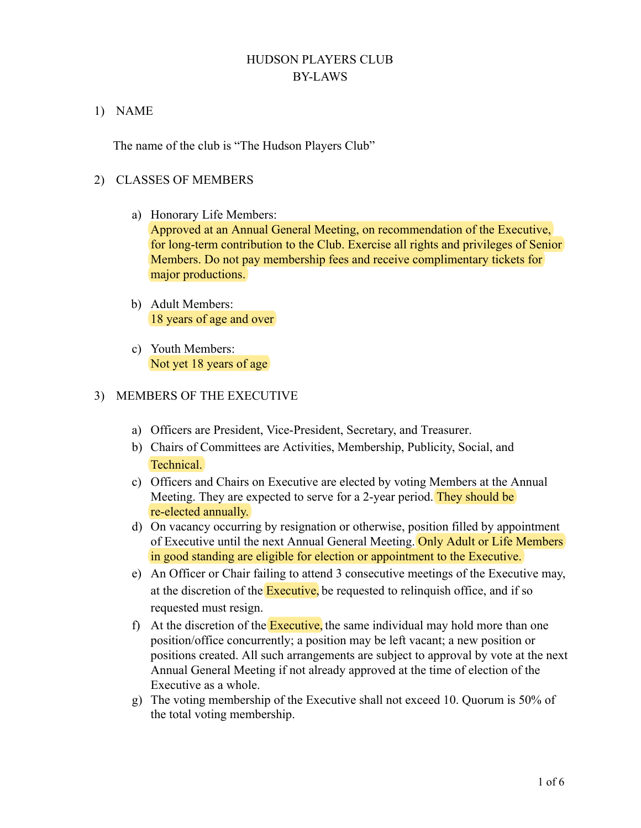# HUDSON PLAYERS CLUB BY-LAWS

#### 1) NAME

The name of the club is "The Hudson Players Club"

## 2) CLASSES OF MEMBERS

a) Honorary Life Members:

Approved at an Annual General Meeting, on recommendation of the Executive, for long-term contribution to the Club. Exercise all rights and privileges of Senior Members. Do not pay membership fees and receive complimentary tickets for major productions.

- b) Adult Members: 18 years of age and over
- c) Youth Members: Not yet 18 years of age

## 3) MEMBERS OF THE EXECUTIVE

- a) Officers are President, Vice-President, Secretary, and Treasurer.
- b) Chairs of Committees are Activities, Membership, Publicity, Social, and Technical.
- c) Officers and Chairs on Executive are elected by voting Members at the Annual Meeting. They are expected to serve for a 2-year period. They should be re-elected annually.
- d) On vacancy occurring by resignation or otherwise, position filled by appointment of Executive until the next Annual General Meeting. Only Adult or Life Members in good standing are eligible for election or appointment to the Executive.
- e) An Officer or Chair failing to attend 3 consecutive meetings of the Executive may, at the discretion of the **Executive**, be requested to relinquish office, and if so requested must resign.
- f) At the discretion of the **Executive**, the same individual may hold more than one position/office concurrently; a position may be left vacant; a new position or positions created. All such arrangements are subject to approval by vote at the next Annual General Meeting if not already approved at the time of election of the Executive as a whole.
- g) The voting membership of the Executive shall not exceed 10. Quorum is 50% of the total voting membership.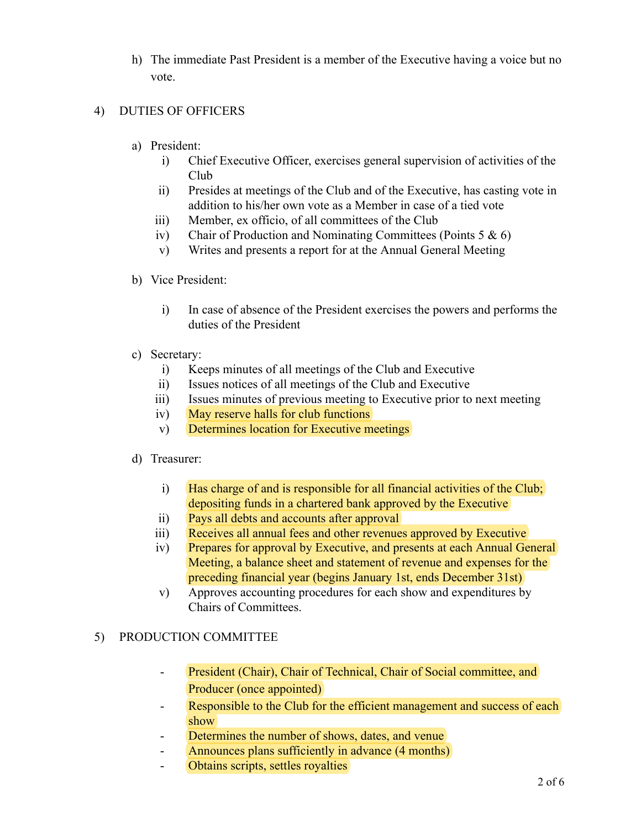h) The immediate Past President is a member of the Executive having a voice but no vote.

## 4) DUTIES OF OFFICERS

- a) President:
	- i) Chief Executive Officer, exercises general supervision of activities of the Club
	- ii) Presides at meetings of the Club and of the Executive, has casting vote in addition to his/her own vote as a Member in case of a tied vote
	- iii) Member, ex officio, of all committees of the Club
	- iv) Chair of Production and Nominating Committees (Points  $5 & 6$ )
	- v) Writes and presents a report for at the Annual General Meeting

## b) Vice President:

- i) In case of absence of the President exercises the powers and performs the duties of the President
- c) Secretary:
	- i) Keeps minutes of all meetings of the Club and Executive
	- ii) Issues notices of all meetings of the Club and Executive
	- iii) Issues minutes of previous meeting to Executive prior to next meeting
	- iv) May reserve halls for club functions
	- v) Determines location for Executive meetings

#### d) Treasurer:

- i) Has charge of and is responsible for all financial activities of the Club; depositing funds in a chartered bank approved by the Executive
- ii) Pays all debts and accounts after approval
- iii) Receives all annual fees and other revenues approved by Executive
- iv) Prepares for approval by Executive, and presents at each Annual General Meeting, a balance sheet and statement of revenue and expenses for the preceding financial year (begins January 1st, ends December 31st)
- v) Approves accounting procedures for each show and expenditures by Chairs of Committees.

## 5) PRODUCTION COMMITTEE

- President (Chair), Chair of Technical, Chair of Social committee, and Producer (once appointed)
- Responsible to the Club for the efficient management and success of each show
- Determines the number of shows, dates, and venue
- Announces plans sufficiently in advance (4 months)
- Obtains scripts, settles royalties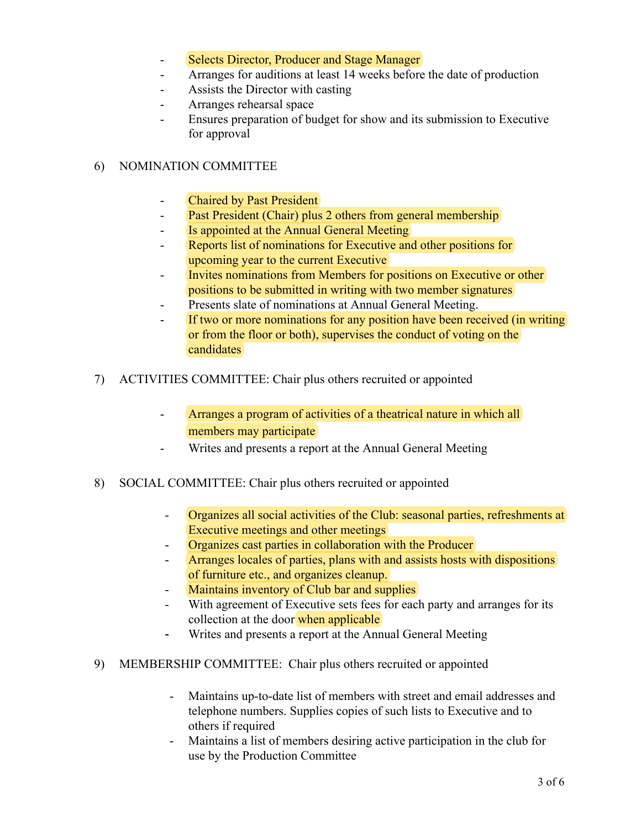- Selects Director, Producer and Stage Manager
- Arranges for auditions at least 14 weeks before the date of production
- Assists the Director with casting
- Arranges rehearsal space
- Ensures preparation of budget for show and its submission to Executive for approval

## 6) NOMINATION COMMITTEE

- Chaired by Past President
- **Past President (Chair) plus 2 others from general membership**
- Is appointed at the Annual General Meeting
- Reports list of nominations for Executive and other positions for upcoming year to the current Executive
- Invites nominations from Members for positions on Executive or other positions to be submitted in writing with two member signatures
- Presents slate of nominations at Annual General Meeting.
- If two or more nominations for any position have been received (in writing or from the floor or both), supervises the conduct of voting on the candidates
- 7) ACTIVITIES COMMITTEE: Chair plus others recruited or appointed
	- Arranges a program of activities of a theatrical nature in which all members may participate
	- Writes and presents a report at the Annual General Meeting
- 8) SOCIAL COMMITTEE: Chair plus others recruited or appointed
	- Organizes all social activities of the Club: seasonal parties, refreshments at Executive meetings and other meetings
	- Organizes cast parties in collaboration with the Producer
	- Arranges locales of parties, plans with and assists hosts with dispositions of furniture etc., and organizes cleanup.
	- Maintains inventory of Club bar and supplies
	- With agreement of Executive sets fees for each party and arranges for its collection at the door when applicable
	- Writes and presents a report at the Annual General Meeting
- 9) MEMBERSHIP COMMITTEE: Chair plus others recruited or appointed
	- Maintains up-to-date list of members with street and email addresses and telephone numbers. Supplies copies of such lists to Executive and to others if required
	- Maintains a list of members desiring active participation in the club for use by the Production Committee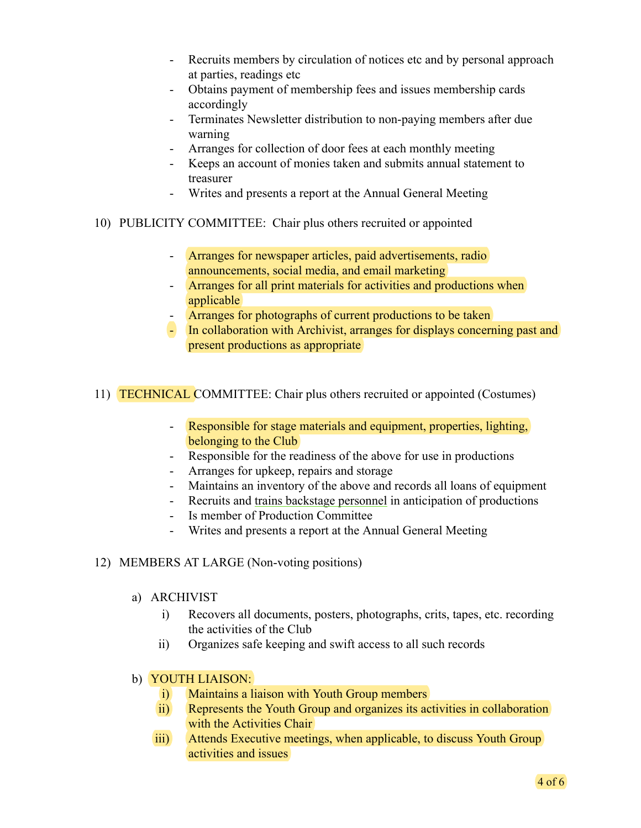- Recruits members by circulation of notices etc and by personal approach at parties, readings etc
- Obtains payment of membership fees and issues membership cards accordingly
- Terminates Newsletter distribution to non-paying members after due warning
- Arranges for collection of door fees at each monthly meeting
- Keeps an account of monies taken and submits annual statement to treasurer
- Writes and presents a report at the Annual General Meeting
- 10) PUBLICITY COMMITTEE: Chair plus others recruited or appointed
	- Arranges for newspaper articles, paid advertisements, radio announcements, social media, and email marketing
	- Arranges for all print materials for activities and productions when applicable
	- Arranges for photographs of current productions to be taken
	- In collaboration with Archivist, arranges for displays concerning past and present productions as appropriate
- 11) TECHNICAL COMMITTEE: Chair plus others recruited or appointed (Costumes)
	- Responsible for stage materials and equipment, properties, lighting, belonging to the Club
	- Responsible for the readiness of the above for use in productions
	- Arranges for upkeep, repairs and storage
	- Maintains an inventory of the above and records all loans of equipment
	- Recruits and trains backstage personnel in anticipation of productions
	- Is member of Production Committee
	- Writes and presents a report at the Annual General Meeting
- 12) MEMBERS AT LARGE (Non-voting positions)
	- a) ARCHIVIST
		- i) Recovers all documents, posters, photographs, crits, tapes, etc. recording the activities of the Club
		- ii) Organizes safe keeping and swift access to all such records
	- b) YOUTH LIAISON:
		- i) Maintains a liaison with Youth Group members
		- ii) Represents the Youth Group and organizes its activities in collaboration with the Activities Chair
		- iii) Attends Executive meetings, when applicable, to discuss Youth Group activities and issues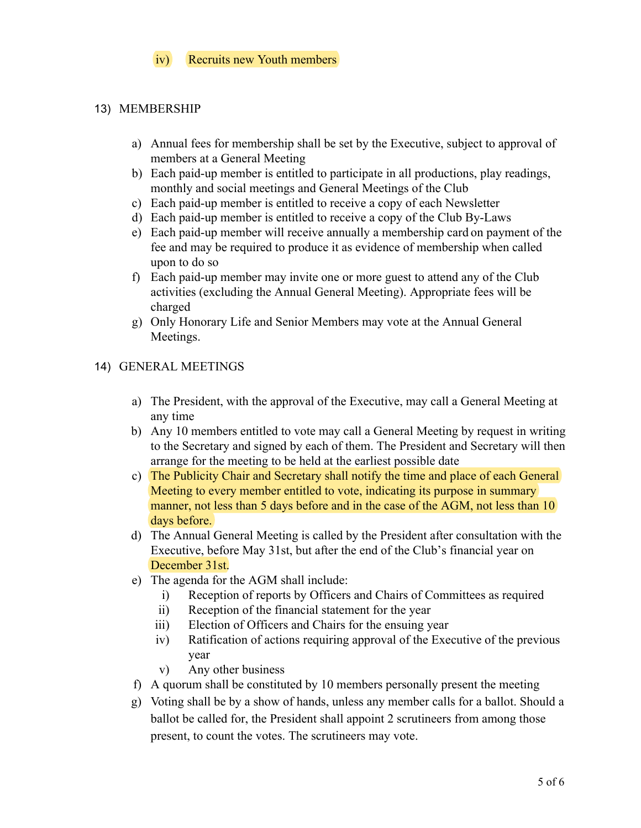## iv) Recruits new Youth members

#### 13) MEMBERSHIP

- a) Annual fees for membership shall be set by the Executive, subject to approval of members at a General Meeting
- b) Each paid-up member is entitled to participate in all productions, play readings, monthly and social meetings and General Meetings of the Club
- c) Each paid-up member is entitled to receive a copy of each Newsletter
- d) Each paid-up member is entitled to receive a copy of the Club By-Laws
- e) Each paid-up member will receive annually a membership card on payment of the fee and may be required to produce it as evidence of membership when called upon to do so
- f) Each paid-up member may invite one or more guest to attend any of the Club activities (excluding the Annual General Meeting). Appropriate fees will be charged
- g) Only Honorary Life and Senior Members may vote at the Annual General Meetings.

#### 14) GENERAL MEETINGS

- a) The President, with the approval of the Executive, may call a General Meeting at any time
- b) Any 10 members entitled to vote may call a General Meeting by request in writing to the Secretary and signed by each of them. The President and Secretary will then arrange for the meeting to be held at the earliest possible date
- c) The Publicity Chair and Secretary shall notify the time and place of each General Meeting to every member entitled to vote, indicating its purpose in summary manner, not less than 5 days before and in the case of the AGM, not less than 10 days before.
- d) The Annual General Meeting is called by the President after consultation with the Executive, before May 31st, but after the end of the Club's financial year on December 31st.
- e) The agenda for the AGM shall include:
	- i) Reception of reports by Officers and Chairs of Committees as required
	- ii) Reception of the financial statement for the year
	- iii) Election of Officers and Chairs for the ensuing year
	- iv) Ratification of actions requiring approval of the Executive of the previous year
	- v) Any other business
- f) A quorum shall be constituted by 10 members personally present the meeting
- g) Voting shall be by a show of hands, unless any member calls for a ballot. Should a ballot be called for, the President shall appoint 2 scrutineers from among those present, to count the votes. The scrutineers may vote.